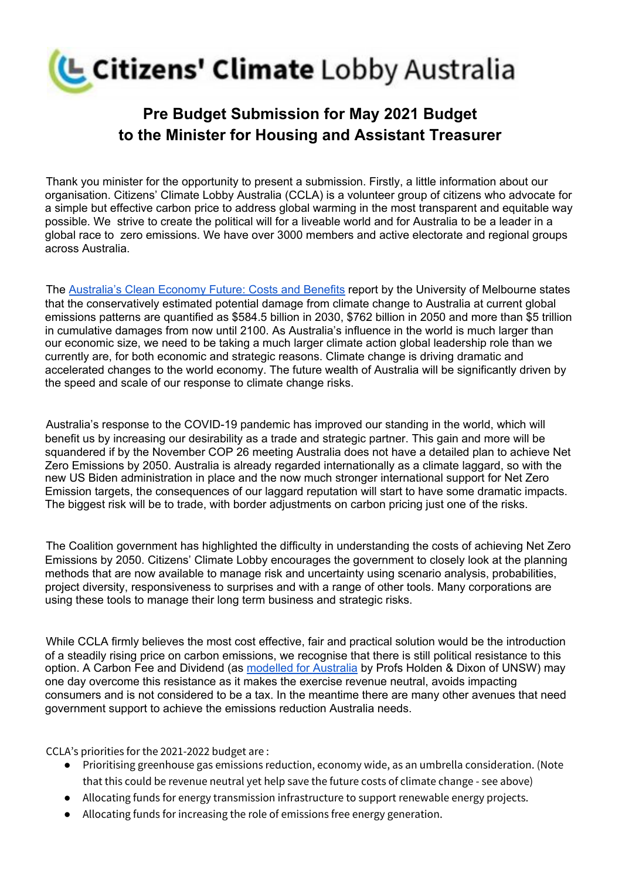

## **Pre Budget Submission for May 2021 Budget to the Minister for Housing and Assistant Treasurer**

Thank you minister for the opportunity to present a submission. Firstly, a little information about our organisation. Citizens' Climate Lobby Australia (CCLA) is a volunteer group of citizens who advocate for a simple but effective carbon price to address global warming in the most transparent and equitable way possible. We strive to create the political will for a liveable world and for Australia to be a leader in a global race to zero emissions. We have over 3000 members and active electorate and regional groups across Australia.

The [Australia's](https://sustainable.unimelb.edu.au/__data/assets/pdf_file/0012/3087786/Australias_Clean_Economy_MSSI_Issues_Paper12.pdf) Clean Economy Future: Costs and Benefits report by the University of Melbourne states that the conservatively estimated potential damage from climate change to Australia at current global emissions patterns are quantified as \$584.5 billion in 2030, \$762 billion in 2050 and more than \$5 trillion in cumulative damages from now until 2100. As Australia's influence in the world is much larger than our economic size, we need to be taking a much larger climate action global leadership role than we currently are, for both economic and strategic reasons. Climate change is driving dramatic and accelerated changes to the world economy. The future wealth of Australia will be significantly driven by the speed and scale of our response to climate change risks.

Australia's response to the COVID-19 pandemic has improved our standing in the world, which will benefit us by increasing our desirability as a trade and strategic partner. This gain and more will be squandered if by the November COP 26 meeting Australia does not have a detailed plan to achieve Net Zero Emissions by 2050. Australia is already regarded internationally as a climate laggard, so with the new US Biden administration in place and the now much stronger international support for Net Zero Emission targets, the consequences of our laggard reputation will start to have some dramatic impacts. The biggest risk will be to trade, with border adjustments on carbon pricing just one of the risks.

The Coalition government has highlighted the difficulty in understanding the costs of achieving Net Zero Emissions by 2050. Citizens' Climate Lobby encourages the government to closely look at the planning methods that are now available to manage risk and uncertainty using scenario analysis, probabilities, project diversity, responsiveness to surprises and with a range of other tools. Many corporations are using these tools to manage their long term business and strategic risks.

While CCLA firmly believes the most cost effective, fair and practical solution would be the introduction of a steadily rising price on carbon emissions, we recognise that there is still political resistance to this option. A Carbon Fee and Dividend (as [modelled](https://www.grandchallenges.unsw.edu.au/article/australian-carbon-dividend-plan) for Australia by Profs Holden & Dixon of UNSW) may one day overcome this resistance as it makes the exercise revenue neutral, avoids impacting consumers and is not considered to be a tax. In the meantime there are many other avenues that need government support to achieve the emissions reduction Australia needs.

CCLA's priorities for the 2021-2022 budget are :

- Prioritising greenhouse gas emissions reduction, economy wide, as an umbrella consideration. (Note that this could be revenue neutral yet help save the future costs of climate change - see above)
- Allocating funds for energy transmission infrastructure to support renewable energy projects.
- Allocating funds for increasing the role of emissions free energy generation.